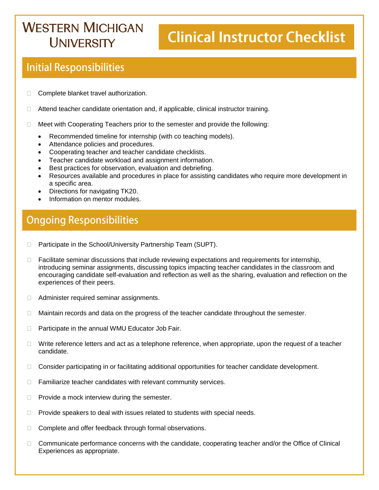## **WESTERN MICHIGAN I INIVERSITY**

# **Clinical Instructor Checklist**

### **Initial Responsibilities**

- □ Complete blanket travel authorization.
- $\Box$  Attend teacher candidate orientation and, if applicable, clinical instructor training.
- $\Box$  Meet with Cooperating Teachers prior to the semester and provide the following:
	- Recommended timeline for internship (with co teaching models).
	- Attendance policies and procedures.
	- Cooperating teacher and teacher candidate checklists.
	- Teacher candidate workload and assignment information.
	- Best practices for observation, evaluation and debriefing.
	- Resources available and procedures in place for assisting candidates who require more development in a specific area.
	- Directions for navigating TK20.
	- Information on mentor modules.

### **Ongoing Responsibilities**

- □ Participate in the School/University Partnership Team (SUPT).
- $\Box$  Facilitate seminar discussions that include reviewing expectations and requirements for internship, introducing seminar assignments, discussing topics impacting teacher candidates in the classroom and encouraging candidate self-evaluation and reflection as well as the sharing, evaluation and reflection on the experiences of their peers.
- □ Administer required seminar assignments.
- □ Maintain records and data on the progress of the teacher candidate throughout the semester.
- $\Box$  Participate in the annual WMU Educator Job Fair.
- $\Box$  Write reference letters and act as a telephone reference, when appropriate, upon the request of a teacher candidate.
- □ Consider participating in or facilitating additional opportunities for teacher candidate development.
- $\Box$  Familiarize teacher candidates with relevant community services.
- $\Box$  Provide a mock interview during the semester.
- $\Box$  Provide speakers to deal with issues related to students with special needs.
- □ Complete and offer feedback through formal observations.
- $\Box$  Communicate performance concerns with the candidate, cooperating teacher and/or the Office of Clinical Experiences as appropriate.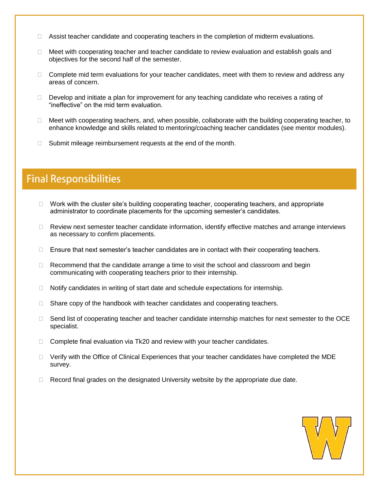- $\Box$  Assist teacher candidate and cooperating teachers in the completion of midterm evaluations.
- $\Box$  Meet with cooperating teacher and teacher candidate to review evaluation and establish goals and objectives for the second half of the semester.
- □ Complete mid term evaluations for your teacher candidates, meet with them to review and address any areas of concern.
- $\Box$  Develop and initiate a plan for improvement for any teaching candidate who receives a rating of "ineffective" on the mid term evaluation.
- $\Box$  Meet with cooperating teachers, and, when possible, collaborate with the building cooperating teacher, to enhance knowledge and skills related to mentoring/coaching teacher candidates (see mentor modules).
- Submit mileage reimbursement requests at the end of the month.

#### **Final Responsibilities**

- $\Box$  Work with the cluster site's building cooperating teacher, cooperating teachers, and appropriate administrator to coordinate placements for the upcoming semester's candidates.
- $\Box$  Review next semester teacher candidate information, identify effective matches and arrange interviews as necessary to confirm placements.
- $\Box$  Ensure that next semester's teacher candidates are in contact with their cooperating teachers.
- $\Box$  Recommend that the candidate arrange a time to visit the school and classroom and begin communicating with cooperating teachers prior to their internship.
- $\Box$  Notify candidates in writing of start date and schedule expectations for internship.
- $\Box$  Share copy of the handbook with teacher candidates and cooperating teachers.
- $\Box$  Send list of cooperating teacher and teacher candidate internship matches for next semester to the OCE specialist.
- $\Box$  Complete final evaluation via Tk20 and review with your teacher candidates.
- □ Verify with the Office of Clinical Experiences that your teacher candidates have completed the MDE survey.
- $\Box$  Record final grades on the designated University website by the appropriate due date.